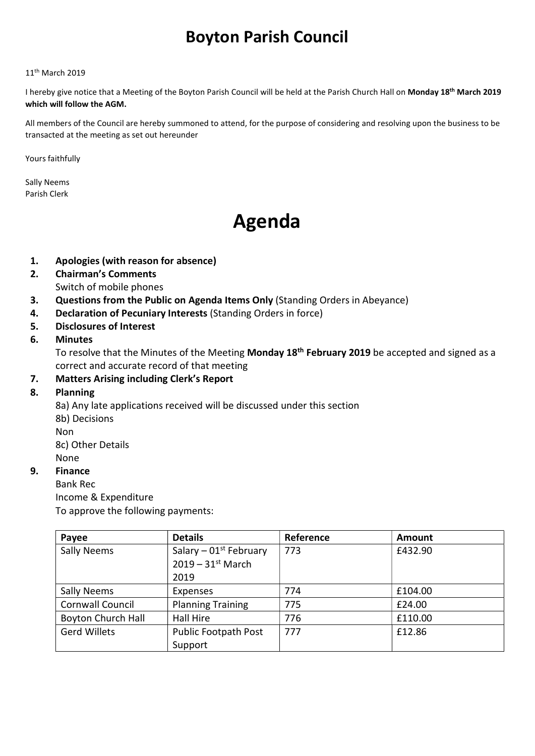# Boyton Parish Council

#### 11th March 2019

I hereby give notice that a Meeting of the Boyton Parish Council will be held at the Parish Church Hall on Monday 18<sup>th</sup> March 2019 which will follow the AGM.

All members of the Council are hereby summoned to attend, for the purpose of considering and resolving upon the business to be transacted at the meeting as set out hereunder

Yours faithfully

Sally Neems Parish Clerk

# Agenda

- 1. Apologies (with reason for absence)
- 2. Chairman's Comments Switch of mobile phones
- 3. Questions from the Public on Agenda Items Only (Standing Orders in Abeyance)
- 4. Declaration of Pecuniary Interests (Standing Orders in force)
- 5. Disclosures of Interest

### 6. Minutes

To resolve that the Minutes of the Meeting Monday 18<sup>th</sup> February 2019 be accepted and signed as a correct and accurate record of that meeting

# 7. Matters Arising including Clerk's Report

#### 8. Planning

8a) Any late applications received will be discussed under this section 8b) Decisions

Non

8c) Other Details None

# 9. Finance

Bank Rec

Income & Expenditure

To approve the following payments:

| Payee                     | <b>Details</b>                                              | Reference | Amount  |
|---------------------------|-------------------------------------------------------------|-----------|---------|
| Sally Neems               | Salary – $01st$ February<br>$2019 - 31$ <sup>st</sup> March | 773       | £432.90 |
|                           | 2019                                                        |           |         |
| <b>Sally Neems</b>        | Expenses                                                    | 774       | £104.00 |
| <b>Cornwall Council</b>   | <b>Planning Training</b>                                    | 775       | £24.00  |
| <b>Boyton Church Hall</b> | Hall Hire                                                   | 776       | £110.00 |
| <b>Gerd Willets</b>       | <b>Public Footpath Post</b>                                 | 777       | £12.86  |
|                           | Support                                                     |           |         |